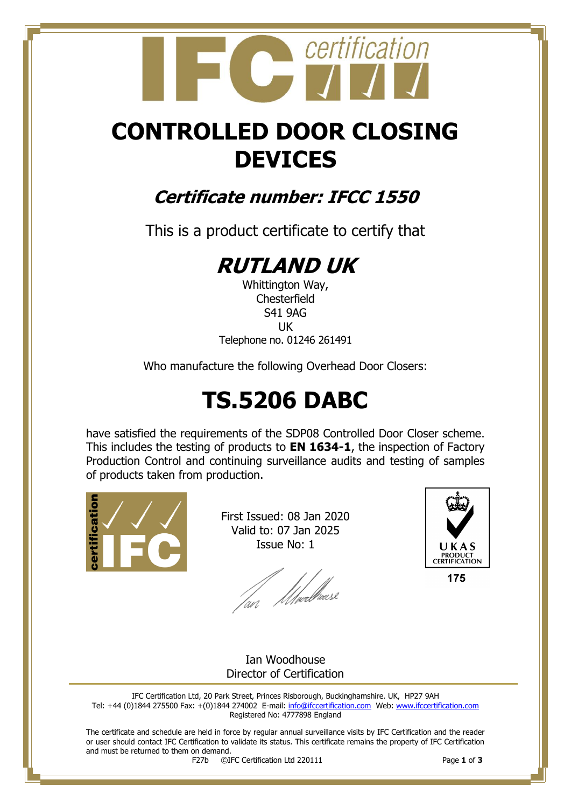## certification

## **CONTROLLED DOOR CLOSING DEVICES**

### **Certificate number: IFCC 1550**

This is a product certificate to certify that

## **RUTLAND UK**

Whittington Way, **Chesterfield** S41 9AG UK Telephone no. 01246 261491

Who manufacture the following Overhead Door Closers:

## **TS.5206 DABC**

have satisfied the requirements of the SDP08 Controlled Door Closer scheme. This includes the testing of products to **EN 1634-1**, the inspection of Factory Production Control and continuing surveillance audits and testing of samples of products taken from production.



First Issued: 08 Jan 2020 Valid to: 07 Jan 2025 Issue No: 1

/m/ Moed<sup>fruse</sup>



175

Ian Woodhouse Director of Certification

IFC Certification Ltd, 20 Park Street, Princes Risborough, Buckinghamshire. UK, HP27 9AH Tel: +44 (0)1844 275500 Fax: +(0)1844 274002 E-mail[: info@ifccertification.com](mailto:info@ifccertification.com) Web: [www.ifccertification.com](http://www.ifccertification.com/) Registered No: 4777898 England

The certificate and schedule are held in force by regular annual surveillance visits by IFC Certification and the reader or user should contact IFC Certification to validate its status. This certificate remains the property of IFC Certification and must be returned to them on demand.<br> $F27b$   $\odot$ I

F27b ©IFC Certification Ltd 220111 Page **1** of **3**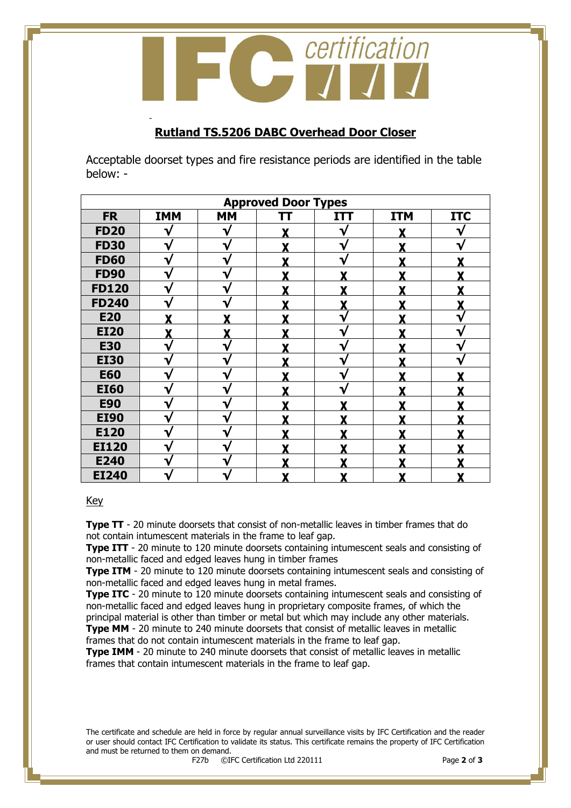certification

### **Rutland TS.5206 DABC Overhead Door Closer**

Acceptable doorset types and fire resistance periods are identified in the table below: -

| <b>Approved Door Types</b> |            |           |    |              |            |            |
|----------------------------|------------|-----------|----|--------------|------------|------------|
| <b>FR</b>                  | <b>IMM</b> | <b>MM</b> | TT | <b>ITT</b>   | <b>ITM</b> | <b>ITC</b> |
| <b>FD20</b>                |            | ٦.        |    | V            |            |            |
| <b>FD30</b>                | V          | ٦ν        |    | V            |            |            |
| <b>FD60</b>                | V          | ∿         |    | V            | v          |            |
| <b>FD90</b>                | V          | ٦         | v  | v            | v          |            |
| <b>FD120</b>               | V          | ٦         | v  | v            | v          |            |
| <b>FD240</b>               |            |           |    | v            |            |            |
| <b>E20</b>                 |            |           |    | V            | Y          |            |
| <b>EI20</b>                | Y          | v         |    | V            |            |            |
| <b>E30</b>                 | V          | ∿         |    | ٦            | v          |            |
| <b>EI30</b>                | V          | ∿         |    | $\mathbf{v}$ |            |            |
| <b>E60</b>                 | V          | ٦         |    | V            | v          |            |
| <b>EI60</b>                | V          | J         | v  | V            | v          |            |
| <b>E90</b>                 | V          | ٦         |    |              |            |            |
| <b>EI90</b>                | V          |           |    |              | v          |            |
| E120                       | ٦.         |           |    |              |            |            |
| <b>EI120</b>               | V          |           |    |              |            |            |
| E240                       | V          |           |    |              |            |            |
| <b>EI240</b>               |            |           |    | Y            | v          |            |

#### Key

-

**Type TT** - 20 minute doorsets that consist of non-metallic leaves in timber frames that do not contain intumescent materials in the frame to leaf gap.

**Type ITT** - 20 minute to 120 minute doorsets containing intumescent seals and consisting of non-metallic faced and edged leaves hung in timber frames

**Type ITM** - 20 minute to 120 minute doorsets containing intumescent seals and consisting of non-metallic faced and edged leaves hung in metal frames.

**Type ITC** - 20 minute to 120 minute doorsets containing intumescent seals and consisting of non-metallic faced and edged leaves hung in proprietary composite frames, of which the principal material is other than timber or metal but which may include any other materials.

**Type MM** - 20 minute to 240 minute doorsets that consist of metallic leaves in metallic frames that do not contain intumescent materials in the frame to leaf gap.

**Type IMM** - 20 minute to 240 minute doorsets that consist of metallic leaves in metallic frames that contain intumescent materials in the frame to leaf gap.

The certificate and schedule are held in force by regular annual surveillance visits by IFC Certification and the reader or user should contact IFC Certification to validate its status. This certificate remains the property of IFC Certification and must be returned to them on demand.<br> $F27b$   $\odot$ I

F27b ©IFC Certification Ltd 220111 Page **2** of **3**